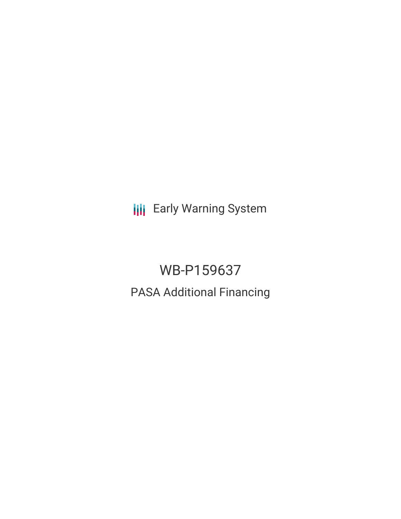**III** Early Warning System

WB-P159637 PASA Additional Financing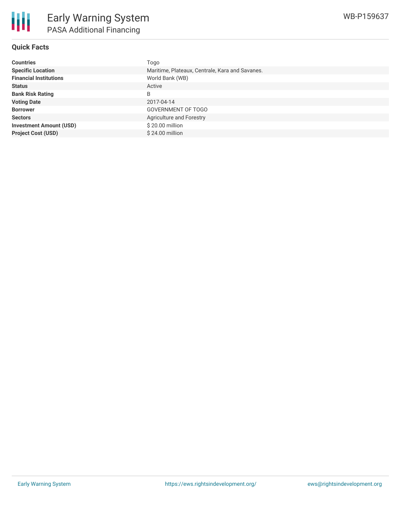

### **Quick Facts**

| <b>Countries</b>               | Togo                                            |
|--------------------------------|-------------------------------------------------|
| <b>Specific Location</b>       | Maritime, Plateaux, Centrale, Kara and Savanes. |
| <b>Financial Institutions</b>  | World Bank (WB)                                 |
| <b>Status</b>                  | Active                                          |
| <b>Bank Risk Rating</b>        | B                                               |
| <b>Voting Date</b>             | 2017-04-14                                      |
| <b>Borrower</b>                | <b>GOVERNMENT OF TOGO</b>                       |
| <b>Sectors</b>                 | Agriculture and Forestry                        |
| <b>Investment Amount (USD)</b> | \$20.00 million                                 |
| <b>Project Cost (USD)</b>      | \$24.00 million                                 |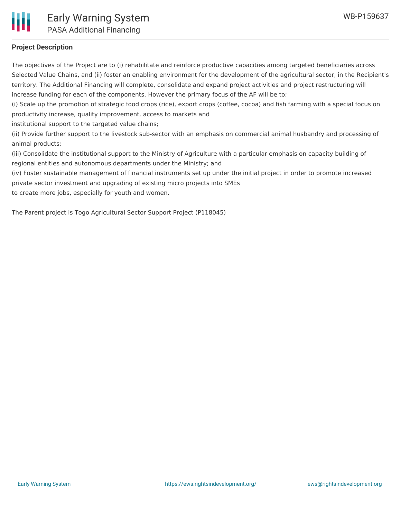

# **Project Description**

The objectives of the Project are to (i) rehabilitate and reinforce productive capacities among targeted beneficiaries across Selected Value Chains, and (ii) foster an enabling environment for the development of the agricultural sector, in the Recipient's territory. The Additional Financing will complete, consolidate and expand project activities and project restructuring will increase funding for each of the components. However the primary focus of the AF will be to;

(i) Scale up the promotion of strategic food crops (rice), export crops (coffee, cocoa) and fish farming with a special focus on productivity increase, quality improvement, access to markets and

institutional support to the targeted value chains;

(ii) Provide further support to the livestock sub-sector with an emphasis on commercial animal husbandry and processing of animal products;

(iii) Consolidate the institutional support to the Ministry of Agriculture with a particular emphasis on capacity building of regional entities and autonomous departments under the Ministry; and

(iv) Foster sustainable management of financial instruments set up under the initial project in order to promote increased private sector investment and upgrading of existing micro projects into SMEs

to create more jobs, especially for youth and women.

The Parent project is Togo Agricultural Sector Support Project (P118045)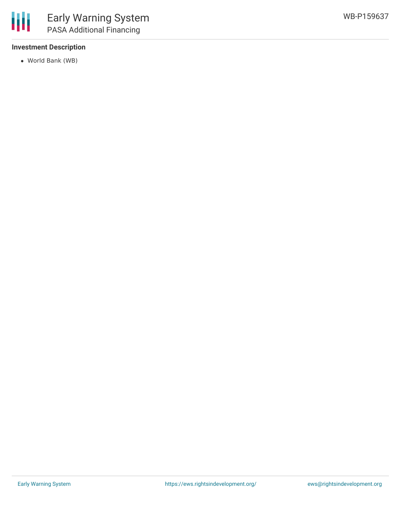

# **Investment Description**

World Bank (WB)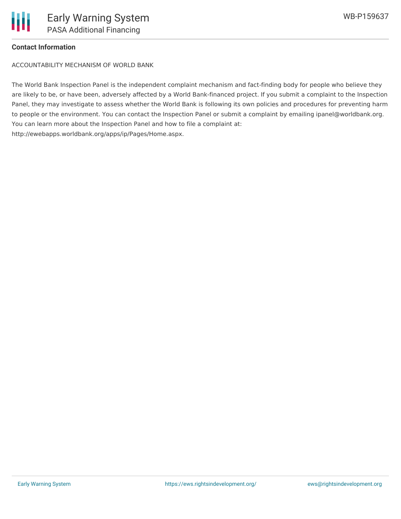#### **Contact Information**

ACCOUNTABILITY MECHANISM OF WORLD BANK

The World Bank Inspection Panel is the independent complaint mechanism and fact-finding body for people who believe they are likely to be, or have been, adversely affected by a World Bank-financed project. If you submit a complaint to the Inspection Panel, they may investigate to assess whether the World Bank is following its own policies and procedures for preventing harm to people or the environment. You can contact the Inspection Panel or submit a complaint by emailing ipanel@worldbank.org. You can learn more about the Inspection Panel and how to file a complaint at: http://ewebapps.worldbank.org/apps/ip/Pages/Home.aspx.